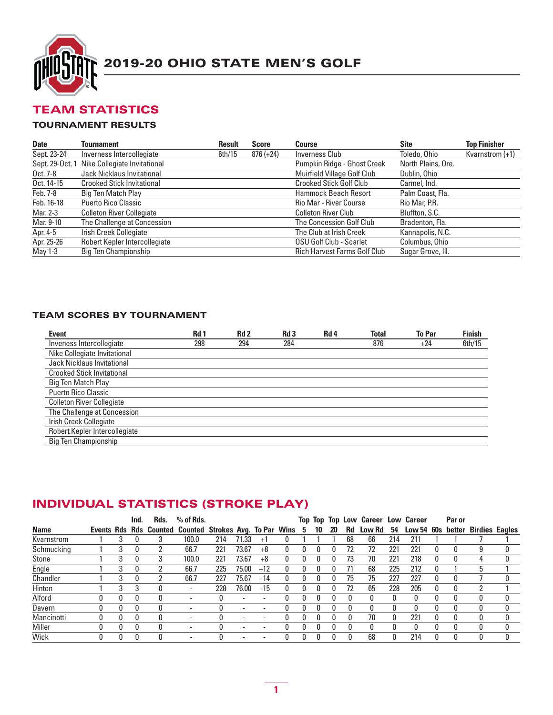

### TEAM STATISTICS

#### TOURNAMENT RESULTS

| <b>Date</b>     | <b>Tournament</b>                 | Result | <b>Score</b> | Course                              | <b>Site</b>        | <b>Top Finisher</b> |
|-----------------|-----------------------------------|--------|--------------|-------------------------------------|--------------------|---------------------|
| Sept. 23-24     | Inverness Intercollegiate         | 6th/15 | $876 (+24)$  | Inverness Club                      | Toledo, Ohio       | Kvarnstrom $(+1)$   |
| Sept. 29-Oct. 1 | Nike Collegiate Invitational      |        |              | Pumpkin Ridge - Ghost Creek         | North Plains, Ore. |                     |
| Oct. 7-8        | <b>Jack Nicklaus Invitational</b> |        |              | Muirfield Village Golf Club         | Dublin, Ohio       |                     |
| Oct. 14-15      | <b>Crooked Stick Invitational</b> |        |              | <b>Crooked Stick Golf Club</b>      | Carmel, Ind.       |                     |
| Feb. 7-8        | Big Ten Match Play                |        |              | <b>Hammock Beach Resort</b>         | Palm Coast, Fla.   |                     |
| Feb. 16-18      | <b>Puerto Rico Classic</b>        |        |              | Rio Mar - River Course              | Rio Mar, P.R.      |                     |
| Mar. 2-3        | <b>Colleton River Collegiate</b>  |        |              | Colleton River Club                 | Bluffton, S.C.     |                     |
| Mar. 9-10       | The Challenge at Concession       |        |              | The Concession Golf Club            | Bradenton, Fla.    |                     |
| Apr. 4-5        | Irish Creek Collegiate            |        |              | The Club at Irish Creek             | Kannapolis, N.C.   |                     |
| Apr. 25-26      | Robert Kepler Intercollegiate     |        |              | <b>OSU Golf Club - Scarlet</b>      | Columbus, Ohio     |                     |
| May 1-3         | Big Ten Championship              |        |              | <b>Rich Harvest Farms Golf Club</b> | Sugar Grove, III.  |                     |

#### TEAM SCORES BY TOURNAMENT

| <b>Event</b>                      | Rd 1 | Rd <sub>2</sub> | Rd <sub>3</sub> | Rd <sub>4</sub> | <b>Total</b> | <b>To Par</b> | <b>Finish</b> |
|-----------------------------------|------|-----------------|-----------------|-----------------|--------------|---------------|---------------|
| Inveness Intercollegiate          | 298  | 294             | 284             |                 | 876          | $+24$         | 6th/15        |
| Nike Collegiate Invitational      |      |                 |                 |                 |              |               |               |
| Jack Nicklaus Invitational        |      |                 |                 |                 |              |               |               |
| <b>Crooked Stick Invitational</b> |      |                 |                 |                 |              |               |               |
| Big Ten Match Play                |      |                 |                 |                 |              |               |               |
| <b>Puerto Rico Classic</b>        |      |                 |                 |                 |              |               |               |
| <b>Colleton River Collegiate</b>  |      |                 |                 |                 |              |               |               |
| The Challenge at Concession       |      |                 |                 |                 |              |               |               |
| <b>Irish Creek Collegiate</b>     |      |                 |                 |                 |              |               |               |
| Robert Kepler Intercollegiate     |      |                 |                 |                 |              |               |               |
| <b>Big Ten Championship</b>       |      |                 |                 |                 |              |               |               |

### INDIVIDUAL STATISTICS (STROKE PLAY)

|             |   | Ind. | Rds.         | $%$ of Rds.                                               |     |                          |                          |    |    |    |           | Top Top Top Low Career Low Career |     |            |   | Par or |                       |   |
|-------------|---|------|--------------|-----------------------------------------------------------|-----|--------------------------|--------------------------|----|----|----|-----------|-----------------------------------|-----|------------|---|--------|-----------------------|---|
| <b>Name</b> |   |      |              | Events Rds Rds Counted Counted Strokes Avg. To Par Wins 5 |     |                          |                          |    | 10 | 20 | <b>Rd</b> | Low Rd                            | 54  | Low 54 60s |   |        | better Birdies Eagles |   |
| Kvarnstrom  |   |      |              | 100.0                                                     | 214 | 71.33                    | $+1$                     |    |    |    | 68        | 66                                | 214 | 211        |   |        |                       |   |
| Schmucking  | 3 | 0    |              | 66.7                                                      | 221 | 73.67                    | $+8$                     | 0  | 0  |    | 72        | 72                                | 221 | 221        | 0 |        | 9                     |   |
| Stone       | 3 | 0    | 3            | 100.0                                                     | 221 | 73.67                    | $+8$                     | 0  | 0  |    | 73        | 70                                | 221 | 218        | 0 |        |                       |   |
| Engle       | 3 | 0    |              | 66.7                                                      | 225 | 75.00                    | $+12$                    |    | 0  |    |           | 68                                | 225 | 212        | 0 |        | h.                    |   |
| Chandler    | 3 | 0    |              | 66.7                                                      | 227 | 75.67                    | $+14$                    |    |    |    | 75        | 75                                | 227 | 227        | 0 |        |                       | O |
| Hinton      | 3 | 3    | 0            | ٠                                                         | 228 | 76.00                    | $+15$                    |    | 0  |    | 72        | 65                                | 228 | 205        | 0 |        |                       |   |
| Alford      |   | 0    | 0            | ٠                                                         |     | $\overline{\phantom{a}}$ |                          |    |    |    |           | 0                                 |     |            |   |        |                       |   |
| Davern      |   | 0    | 0            | ٠                                                         |     | $\overline{\phantom{a}}$ |                          |    |    |    |           | 0                                 | O   |            |   |        |                       |   |
| Mancinotti  |   | 0    | 0            | $\overline{\phantom{a}}$                                  |     | $\,$                     |                          |    |    |    |           | 70                                | 0   | 221        | 0 |        |                       |   |
| Miller      | n | 0    | $\Omega$     | ٠                                                         |     | $\overline{\phantom{a}}$ | $\overline{\phantom{a}}$ | O. | Ω  |    |           | 0                                 | 0   | 0          | 0 |        |                       |   |
| Wick        | n | 0    | <sup>0</sup> | ٠                                                         |     |                          |                          |    |    |    |           | 68                                | 0   | 214        | 0 |        |                       | 0 |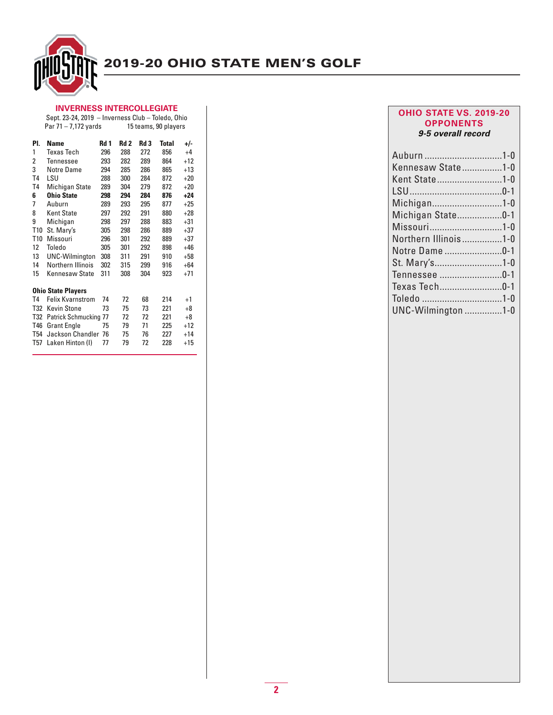

#### **INVERNESS INTERCOLLEGIATE** Sept. 23-24, 2019 – Inverness Club – Toledo, Ohio

|     | Par 71 - 7,172 yards         |      |      |      | 15 teams, 90 players |       |
|-----|------------------------------|------|------|------|----------------------|-------|
| PI. | Name                         | Rd 1 | Rd 2 | Rd 3 | <b>Total</b>         | +/-   |
| 1   | <b>Texas Tech</b>            | 296  | 288  | 272  | 856                  | $+4$  |
| 2   | Tennessee                    | 293  | 282  | 289  | 864                  | $+12$ |
| 3   | Notre Dame                   | 294  | 285  | 286  | 865                  | $+13$ |
| T4  | lsu                          | 288  | 300  | 284  | 872                  | $+20$ |
| T4  | Michigan State               | 289  | 304  | 279  | 872                  | $+20$ |
| 6   | <b>Ohio State</b>            | 298  | 294  | 284  | 876                  | $+24$ |
| 7   | Auburn                       | 289  | 293  | 295  | 877                  | $+25$ |
| 8   | Kent State                   | 297  | 292  | 291  | 880                  | $+28$ |
| 9   | Michigan                     | 298  | 297  | 288  | 883                  | $+31$ |
| T10 | St. Mary's                   | 305  | 298  | 286  | 889                  | $+37$ |
| T10 | Missouri                     | 296  | 301  | 292  | 889                  | $+37$ |
| 12  | Toledo                       | 305  | 301  | 292  | 898                  | $+46$ |
| 13  | <b>UNC-Wilmington</b>        | 308  | 311  | 291  | 910                  | $+58$ |
| 14  | Northern Illinois            | 302  | 315  | 299  | 916                  | $+64$ |
| 15  | Kennesaw State               | 311  | 308  | 304  | 923                  | $+71$ |
|     | <b>Ohio State Players</b>    |      |      |      |                      |       |
| T4  | Felix Kvarnstrom             | 74   | 72   | 68   | 214                  | $+1$  |
| T32 | <b>Kevin Stone</b>           | 73   | 75   | 73   | 221                  | +8    |
| T32 | <b>Patrick Schmucking 77</b> |      | 72   | 72   | 221                  | $+8$  |
| T46 | <b>Grant Engle</b>           | 75   | 79   | 71   | 225                  | $+12$ |
| T54 | Jackson Chandler             | 76   | 75   | 76   | 227                  | $+14$ |
| T57 | Laken Hinton (I)             | 77   | 79   | 72   | 228                  | $+15$ |

#### **OHIO STATE VS. 2019-20 OPPONENTS** *9-5 overall record*

| Auburn 1-0           |  |
|----------------------|--|
| Kennesaw State1-0    |  |
| Kent State1-0        |  |
|                      |  |
| Michigan1-0          |  |
| Michigan State0-1    |  |
| Missouri1-0          |  |
| Northern Illinois1-0 |  |
| Notre Dame 0-1       |  |
| St. Mary's1-0        |  |
| Tennessee 0-1        |  |
| Texas Tech0-1        |  |
| Toledo 1-0           |  |
| UNC-Wilmington 1-0   |  |
|                      |  |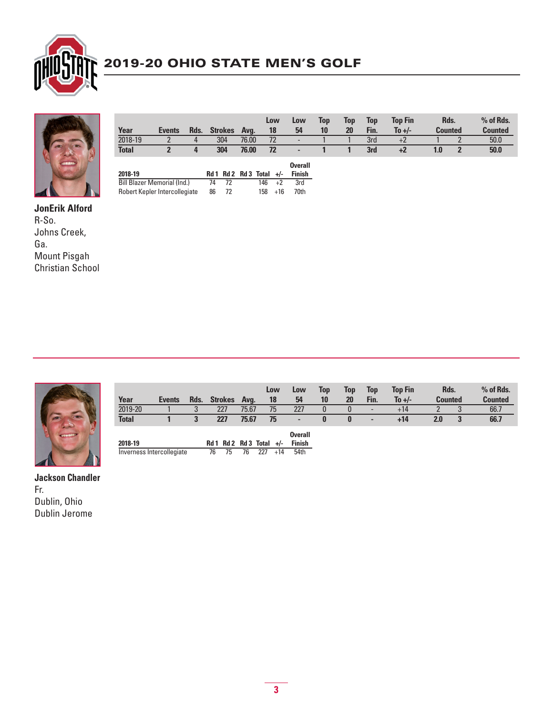



|                               |               |      |    |                               |       |     | Low   | Low                      | Top | Top | Top  | <b>Top Fin</b> | Rds.           |                | % of Rds.      |
|-------------------------------|---------------|------|----|-------------------------------|-------|-----|-------|--------------------------|-----|-----|------|----------------|----------------|----------------|----------------|
| Year                          | <b>Events</b> | Rds. |    | <b>Strokes</b>                | Ava.  |     | 18    | 54                       | 10  | 20  | Fin. | To $+/-$       | <b>Counted</b> |                | <b>Counted</b> |
| 2018-19                       |               | 4    |    | 304                           | 76.00 |     | 72    | $\overline{\phantom{a}}$ |     |     | 3rd  | $+2$           |                |                | 50.0           |
| <b>Total</b>                  |               | 4    |    | 304                           | 76.00 |     | 72    | ٠                        |     |     | 3rd  | +2             | 1.0            | $\overline{2}$ | 50.0           |
|                               |               |      |    |                               |       |     |       | <b>Overall</b>           |     |     |      |                |                |                |                |
| 2018-19                       |               |      |    | $Rd1$ $Rd2$ $Rd3$ $Total +/-$ |       |     |       | <b>Finish</b>            |     |     |      |                |                |                |                |
| Bill Blazer Memorial (Ind.)   |               |      | 74 | 72                            |       | 146 | $+2$  | 3rd                      |     |     |      |                |                |                |                |
| Robert Kepler Intercollegiate |               |      | 86 | 72                            |       | 158 | $+16$ | 70th                     |     |     |      |                |                |                |                |

**JonErik Alford** R-So. Johns Creek, Ga. Mount Pisgah Christian School



|                           |               |      |                |                   | Low          | Low            | Top | Top      | Top                      | <b>Top Fin</b> | Rds.           | % of Rds.      |
|---------------------------|---------------|------|----------------|-------------------|--------------|----------------|-----|----------|--------------------------|----------------|----------------|----------------|
| Year                      | <b>Events</b> | Rds. | <b>Strokes</b> | Ava.              | 18           | 54             | 10  | 20       | Fin.                     | To $+/-$       | <b>Counted</b> | <b>Counted</b> |
| 2019-20                   |               | 3    | 227            | 75.67             | 75           | 227            |     | $\bf{0}$ | $\overline{\phantom{0}}$ | $+14$          |                | 66.7           |
| <b>Total</b>              |               | 3    | 227            | 75.67             | 75           | ۰              |     | $\bf{0}$ | ٠                        | $+14$          | 2.0            | 66.7           |
|                           |               |      |                |                   |              | <b>Overall</b> |     |          |                          |                |                |                |
| 2018-19                   |               |      | Rd 2<br>Rd 1   | <b>Rd 3 Total</b> | $+/-$        | <b>Finish</b>  |     |          |                          |                |                |                |
| Inverness Intercollegiate |               |      | 76<br>75       | 76                | 227<br>$+14$ | 54th           |     |          |                          |                |                |                |

**Jackson Chandler** Fr. Dublin, Ohio Dublin Jerome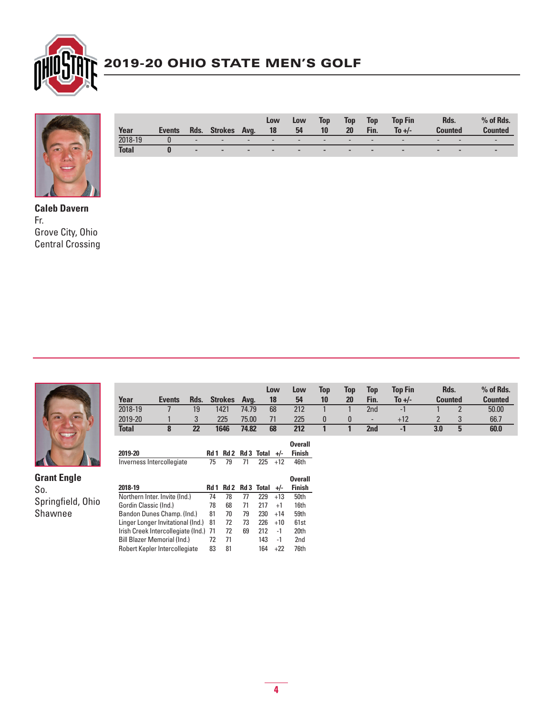



| Year         | <b>Events</b> | Rds.                     | <b>Strokes</b>           | Ava.                     | Low<br>18                | Low<br>54                | Top<br>10                | Top<br>20                | Top<br>Fin.              | Top Fin<br>To $+/-$      | Rds.<br>Counted          |                          | $%$ of Rds.<br><b>Counted</b> |
|--------------|---------------|--------------------------|--------------------------|--------------------------|--------------------------|--------------------------|--------------------------|--------------------------|--------------------------|--------------------------|--------------------------|--------------------------|-------------------------------|
| 2018-19      |               | $\overline{\phantom{0}}$ | $\overline{\phantom{0}}$ | $\overline{\phantom{0}}$ | $\overline{\phantom{a}}$ | $\overline{\phantom{0}}$ | $\overline{\phantom{0}}$ | $\overline{\phantom{0}}$ | $\overline{\phantom{a}}$ | $\overline{\phantom{0}}$ | $\overline{\phantom{0}}$ | $\overline{\phantom{a}}$ | -                             |
| <b>Total</b> |               | $\overline{\phantom{a}}$ | $\overline{\phantom{a}}$ | -                        | $\overline{\phantom{a}}$ | $\overline{\phantom{a}}$ | $\sim$                   | -                        | -                        | $\sim$                   | $\overline{\phantom{a}}$ | $\overline{\phantom{a}}$ | $\overline{\phantom{a}}$      |

**Caleb Davern** Fr. Grove City, Ohio Central Crossing



**Grant Engle** So. Springfield, Ohio Shawnee

|                           |               |      |    |                |       |                      | Low   | Low                      | Top | Top | Top  | <b>Top Fin</b> | Rds.           |                | % of Rds.      |
|---------------------------|---------------|------|----|----------------|-------|----------------------|-------|--------------------------|-----|-----|------|----------------|----------------|----------------|----------------|
| Year                      | <b>Events</b> | Rds. |    | <b>Strokes</b> | Avq.  |                      | 18    | 54                       | 10  | 20  | Fin. | To $+/-$       | <b>Counted</b> |                | <b>Counted</b> |
| 2018-19                   |               | 19   |    | 1421           | 74.79 |                      | 68    | 212                      |     |     | 2nd  | -1             |                | $\overline{2}$ | 50.00          |
| 2019-20                   |               | 3    |    | 225            | 75.00 |                      | 71    | 225                      | 0   | 0   | ٠    | $+12$          | $\overline{2}$ | 3              | 66.7           |
| <b>Total</b>              | 8             | 22   |    | 1646           | 74.82 |                      | 68    | 212                      |     |     | 2nd  | $-1$           | 3.0            | 5              | 60.0           |
|                           |               |      |    |                |       |                      |       | <b>Overall</b>           |     |     |      |                |                |                |                |
| 2019-20                   |               |      |    |                |       | Rd 1 Rd 2 Rd 3 Total | $+/-$ | <b>Finish</b>            |     |     |      |                |                |                |                |
| Inverness Intercollegiate |               |      | 75 | 79             | 71    | 225                  | $+12$ | 46th                     |     |     |      |                |                |                |                |
| ----- --                  |               |      |    |                |       | - - . - -            |       | <b>Overall</b><br>-- - - |     |     |      |                |                |                |                |

| 2018-19                               | Rd 1 |    |    | Rd 2 Rd 3 Total | $+/-$ | Finish           |
|---------------------------------------|------|----|----|-----------------|-------|------------------|
| Northern Inter. Invite (Ind.)         | 74   | 78 | 77 | 229             | $+13$ | 50th             |
| Gordin Classic (Ind.)                 | 78   | 68 | 71 | 217             | $+1$  | 16th             |
| Bandon Dunes Champ. (Ind.)            | 81   | 70 | 79 | 230             | $+14$ | 59th             |
| Linger Longer Invitational (Ind.)     | 81   | 72 | 73 | 226             | $+10$ | 61 <sub>st</sub> |
| Irish Creek Intercollegiate (Ind.) 71 |      | 72 | 69 | 212             | -1    | 20th             |
| <b>Bill Blazer Memorial (Ind.)</b>    | 72   | 71 |    | 143             | -1    | 2 <sub>nd</sub>  |
| Robert Kepler Intercollegiate         | 83   | 81 |    | 164             | +22   | 76th             |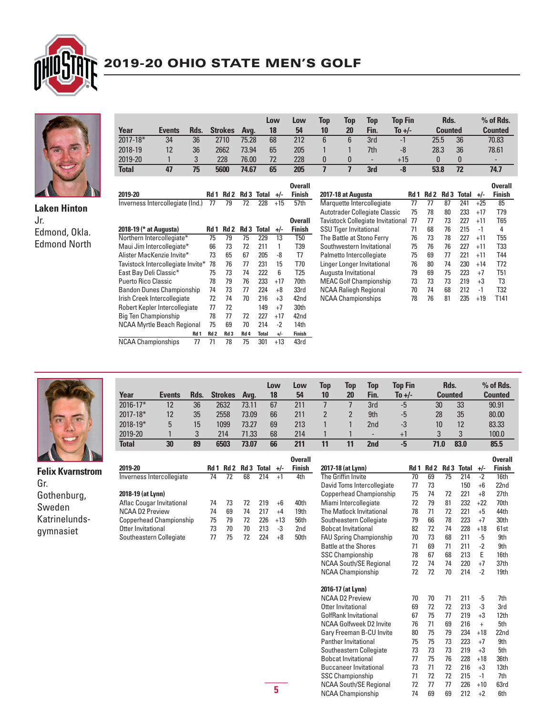



Edmond, Okla. Edmond North

Jr.

|                        |                                   |      |      |                |                 |       | Low   | Low            | Top | Top                           | Top                               | <b>Top Fin</b> |      |      | Rds.            |              |       | $%$ of Rds.              |
|------------------------|-----------------------------------|------|------|----------------|-----------------|-------|-------|----------------|-----|-------------------------------|-----------------------------------|----------------|------|------|-----------------|--------------|-------|--------------------------|
| Year                   | <b>Events</b>                     | Rds. |      | <b>Strokes</b> | Avg.            |       | 18    | 54             | 10  | 20                            | Fin.                              | To +/-         |      |      | <b>Counted</b>  |              |       | <b>Counted</b>           |
| $2017 - 18*$           | 34                                | 36   |      | 2710           | 75.28           |       | 68    | 212            | 6   | 6                             | 3rd                               | $-1$           |      | 25.5 |                 | 36           |       | 70.83                    |
| 2018-19                | 12                                | 36   |      | 2662           | 73.94           |       | 65    | 205            |     |                               | 7th                               | $-8$           |      | 28.3 |                 | 36           |       | 78.61                    |
| 2019-20                |                                   | 3    |      | 228            | 76.00           |       | 72    | 228            | 0   | $\mathbf{0}$                  | $\qquad \qquad \blacksquare$      | $+15$          |      | 0    |                 | 0            |       | $\overline{\phantom{0}}$ |
| <b>Total</b>           | 47                                | 75   |      | 5600           | 74.67           |       | 65    | 205            | 7   | $\overline{1}$                | 3rd                               | $-8$           |      | 53.8 |                 | 72           |       | 74.7                     |
|                        |                                   |      |      |                |                 |       |       | <b>Overall</b> |     |                               |                                   |                |      |      |                 |              |       | <b>Overall</b>           |
| 2019-20                |                                   |      | Rd 1 | Rd 2           | Rd <sub>3</sub> | Total | $+/-$ | <b>Finish</b>  |     | 2017-18 at Augusta            |                                   |                | Rd 1 | Rd 2 | Rd <sub>3</sub> | <b>Total</b> | $+/-$ | <b>Finish</b>            |
|                        | Inverness Intercollegiate (Ind.)  |      | 77   | 79             | 72              | 228   | $+15$ | 57th           |     |                               | Marquette Intercollegiate         |                | 77   | 77   | 87              | 241          | $+25$ | 85                       |
|                        |                                   |      |      |                |                 |       |       |                |     |                               | Autotrader Collegiate Classic     |                | 75   | 78   | 80              | 233          | $+17$ | T79                      |
|                        |                                   |      |      |                |                 |       |       | <b>Overall</b> |     |                               | Tavistock Collegiate Invitational |                | 77   | 77   | 73              | 227          | $+11$ | T65                      |
| 2018-19 (* at Augusta) |                                   |      | Rd 1 | Rd 2           | Rd <sub>3</sub> | Total | $+/-$ | <b>Finish</b>  |     | <b>SSU Tiger Invitational</b> |                                   |                | 71   | 68   | 76              | 215          | $-1$  | 4                        |
|                        | Northern Intercollegiate*         |      | 75   | 79             | 75              | 229   | 13    | T50            |     |                               | The Battle at Stono Ferry         |                | 76   | 73   | 78              | 227          | $+11$ | T55                      |
|                        | Maui Jim Intercollegiate*         |      | 66   | 73             | 72              | 211   |       | T39            |     |                               | Southwestern Invitational         |                | 75   | 76   | 76              | 227          | $+11$ | T33                      |
|                        | Alister MacKenzie Invite*         |      | 73   | 65             | 67              | 205   | -8    | T7             |     |                               | Palmetto Intercollegiate          |                | 75   | 69   | 77              | 221          | $+11$ | T44                      |
|                        | Tavistock Intercollegiate Invite* |      | 78   | 76             | 77              | 231   | 15    | T70            |     |                               | Linger Longer Invitational        |                | 76   | 80   | 74              | 230          | $+14$ | T72                      |
| East Bay Deli Classic* |                                   |      | 75   | 73             | 74              | 222   | 6     | T25            |     | Augusta Invitational          |                                   |                | 79   | 69   | 75              | 223          | $+7$  | T51                      |
| Puerto Rico Classic    |                                   |      | 78   | 79             | 76              | 233   | $+17$ | 70th           |     |                               | <b>MEAC Golf Championship</b>     |                | 73   | 73   | 73              | 219          | $+3$  | T3                       |
|                        | <b>Bandon Dunes Championship</b>  |      | 74   | 73             | 77              | 224   | $+8$  | 33rd           |     |                               | <b>NCAA Raliegh Regional</b>      |                | 70   | 74   | 68              | 212          | $-1$  | T32                      |
|                        | Irish Creek Intercollegiate       |      | 72   | 74             | 70              | 216   | $+3$  | 42nd           |     | <b>NCAA Championships</b>     |                                   |                | 78   | 76   | 81              | 235          | $+19$ | T141                     |



| Year         | <b>Events</b> | Rds. | <b>Strokes</b> | Ava.  | Low<br>18 | Low<br>54 | Top<br>10 | Top<br>20 | Top<br>Fin.              | Top Fin<br>To +/- | Rds.<br><b>Counted</b> |      | % of Rds.<br><b>Counted</b> |
|--------------|---------------|------|----------------|-------|-----------|-----------|-----------|-----------|--------------------------|-------------------|------------------------|------|-----------------------------|
| $2016 - 17*$ | 12            | 36   | 2632           | 73.11 | 67        | 211       |           |           | 3rd                      | $-5$              | 30                     | 33   | 90.91                       |
| $2017 - 18*$ | 12            | 35   | 2558           | 73.09 | 66        | 211       |           |           | 9th                      | $-5$              | 28                     | 35   | 80.00                       |
| $2018 - 19*$ | 5             | 15   | 1099           | 73.27 | 69        | 213       |           |           | 2nd                      | -3                | 10                     | 12   | 83.33                       |
| 2019-20      |               |      | 214            | 71.33 | 68        | 214       |           |           | $\overline{\phantom{a}}$ | $+1$              |                        | 3    | 100.0                       |
| <b>Total</b> | 30            | 89   | 6503           | 73.07 | 66        | 211       | 11        |           | 2nd                      | -5                | 71.0                   | 83.0 | 85.5                        |

 **Overall**

| <b><i>Communication Security Commission</i></b><br>AWOUGH PRODUCT |                                  |      |    |    |                         |       | uvera         |
|-------------------------------------------------------------------|----------------------------------|------|----|----|-------------------------|-------|---------------|
| <b>Felix Kvarnstrom</b>                                           | 2019-20                          | Rd 1 |    |    | $Rd2$ $Rd3$ Total $+/-$ |       | <b>Finish</b> |
| Gr.                                                               | Inverness Intercollegiate        | 74   | 72 | 68 | 214                     | $+1$  | 4th           |
| Gothenburg,                                                       | 2018-19 (at Lynn)                |      |    |    |                         |       |               |
|                                                                   | <b>Aflac Cougar Invitational</b> | 74   | 73 | 72 | 219                     | $+6$  | 40th          |
| Sweden                                                            | <b>NCAA D2 Preview</b>           | 74   | 69 | 74 | 217                     | $+4$  | 19th          |
| Katrinelunds-                                                     | <b>Copperhead Championship</b>   | 75   | 79 | 72 | 226                     | $+13$ | 56th          |
| gymnasiet                                                         | Otter Invitational               | 73   | 70 | 70 | 213                     | -3    | 2nd           |
|                                                                   | Southeastern Collegiate          | 77   | 75 | 72 | 224                     | $+8$  | 50th          |
|                                                                   |                                  |      |    |    |                         |       |               |

NCAA Myrtle Beach Regional

Robert Kepler Intercollegiate 77 72 149 +7 30th<br>Big Ten Championship 78 77 72 227 +17 42nd Big Ten Championship 78 77 72 227 +17 42nd

NCAA Championships 77 71 78 75 301 +13 43rd

**Rd 1 Rd 2 Rd 3 Rd 4 Total +/- Finish**

| 2017-18 (at Lynn)              | Rd 1 | Rd <sub>2</sub> | Rd <sub>3</sub> | <b>Total</b> | +/-       | <b>Overall</b><br><b>Finish</b> |
|--------------------------------|------|-----------------|-----------------|--------------|-----------|---------------------------------|
| The Griffin Invite             | 70   | 69              | 75              | 214          | $-2$      | 16th                            |
| David Toms Intercollegiate     | 77   | 73              |                 | 150          | $+6$      | 22nd                            |
| <b>Copperhead Championship</b> | 75   | 74              | 72              | 221          | $+8$      | 27 <sub>th</sub>                |
| Miami Intercollegiate          | 72   | 79              | 81              | 232          | $+22$     | 70th                            |
| The Matlock Invitational       | 78   | 71              | 72              | 221          | $+5$      | 44th                            |
| Southeastern Collegiate        | 79   | 66              | 78              | 223          | $+7$      | 30th                            |
| <b>Bobcat Invitational</b>     | 82   | 72              | 74              | 228          | $+18$     | 61 <sub>st</sub>                |
| <b>FAU Spring Championship</b> | 70   | 73              | 68              | 211          | -5        | 9th                             |
| <b>Battle at the Shores</b>    | 71   | 69              | 71              | 211          | $-2$      | 9th                             |
| <b>SSC Championship</b>        | 78   | 67              | 68              | 213          | E         | 16th                            |
| <b>NCAA South/SE Regional</b>  | 72   | 74              | 74              | 220          | $+7$      | 37th                            |
| <b>NCAA Championship</b>       | 72   | 72              | 70              | 214          | $-2$      | 19th                            |
| 2016-17 (at Lynn)              |      |                 |                 |              |           |                                 |
| <b>NCAA D2 Preview</b>         | 70   | 70              | 71              | 211          | -5        | 7th                             |
| Otter Invitational             | 69   | 72              | 72              | 213          | -3        | 3rd                             |
| GolfRank Invitational          | 67   | 75              | 77              | 219          | $+3$      | 12th                            |
| NCAA Golfweek D2 Invite        | 76   | 71              | 69              | 216          | $\ddot{}$ | 5th                             |
| Gary Freeman B-CU Invite       | 80   | 75              | 79              | 234          | $+18$     | 22nd                            |
| <b>Panther Invitational</b>    | 75   | 75              | 73              | 223          | $+7$      | 9th                             |
| Southeastern Collegiate        | 73   | 73              | 73              | 219          | $+3$      | 5th                             |
| <b>Bobcat Invitational</b>     | 77   | 75              | 76              | 228          | $+18$     | 36th                            |
| <b>Buccaneer Invitational</b>  | 73   | 71              | 72              | 216          | $+3$      | 13th                            |
| <b>SSC Championship</b>        | 71   | 72              | 72              | 215          | $-1$      | 7th                             |
| <b>NCAA South/SE Regional</b>  | 72   | 77              | 77              | 226          | $+10$     | 63rd                            |
| <b>NCAA Championship</b>       | 74   | 69              | 69              | 212          | $+2$      | 6th                             |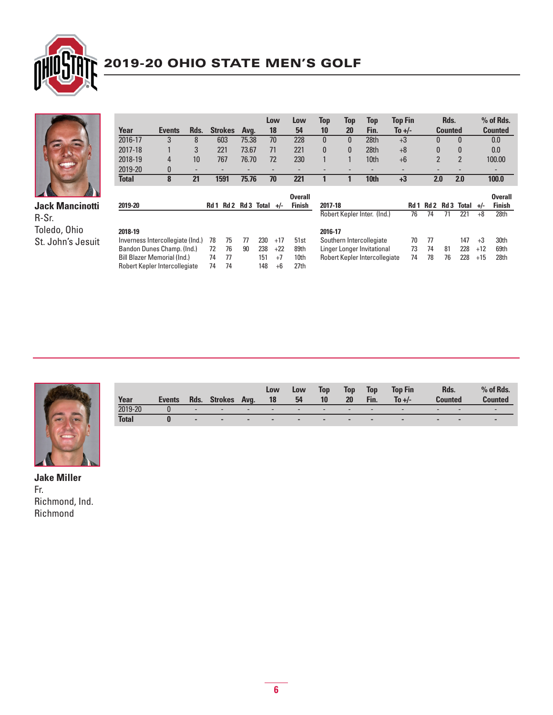



**Jack Mancinotti** R-Sr. Toledo, Ohio St. John's Jesuit

|                                  |               |      |      |                |         |       | Low   | Low            | Top          | Top | Top                           | <b>Top Fin</b> |                | Rds.            |                          |       | % of Rds.      |
|----------------------------------|---------------|------|------|----------------|---------|-------|-------|----------------|--------------|-----|-------------------------------|----------------|----------------|-----------------|--------------------------|-------|----------------|
| Year                             | <b>Events</b> | Rds. |      | <b>Strokes</b> | Avg.    |       | 18    | 54             | 10           | 20  | Fin.                          | To $+/-$       |                | <b>Counted</b>  |                          |       | <b>Counted</b> |
| 2016-17                          | 3             | 8    |      | 603            | 75.38   |       | 70    | 228            | $\mathbf{0}$ | 0   | 28th                          | $+3$           | 0              |                 | 0                        |       | 0.0            |
| 2017-18                          |               | 3    |      | 221            | 73.67   |       | 71    | 221            | $\mathbf{0}$ | 0   | 28th                          | $+8$           | 0              |                 | $\bf{0}$                 |       | 0.0            |
| 2018-19                          | 4             | 10   |      | 767            | 76.70   |       | 72    | 230            |              |     | 10th                          | $+6$           | $\overline{2}$ |                 | $\overline{2}$           |       | 100.00         |
| 2019-20                          | 0             |      |      | $\overline{a}$ |         |       |       |                |              |     | ٠                             |                | -              |                 | $\overline{\phantom{0}}$ |       |                |
| <b>Total</b>                     | 8             | 21   |      | 1591           | 75.76   |       | 70    | 221            |              |     | 10th                          | $+3$           | 2.0            |                 | 2.0                      |       | 100.0          |
|                                  |               |      |      |                |         |       |       |                |              |     |                               |                |                |                 |                          |       |                |
|                                  |               |      |      |                |         |       |       | <b>Overall</b> |              |     |                               |                |                |                 |                          |       | <b>Overall</b> |
| 2019-20                          |               |      | Rd 1 |                | Rd2 Rd3 | Total | $+/-$ | <b>Finish</b>  | 2017-18      |     |                               | Rd 1           | Rd 2           | Rd <sub>3</sub> | Total                    | $+/-$ | <b>Finish</b>  |
|                                  |               |      |      |                |         |       |       |                |              |     | Robert Kepler Inter. (Ind.)   | 76             | 74             | 71              | 221                      | $+8$  | 28th           |
| 2018-19                          |               |      |      |                |         |       |       |                | 2016-17      |     |                               |                |                |                 |                          |       |                |
| Inverness Intercollegiate (Ind.) |               |      | 78   | 75             | 77      | 230   | $+17$ | 51st           |              |     | Southern Intercollegiate      | 70             | 77             |                 | 147                      | $+3$  | 30th           |
| Bandon Dunes Champ. (Ind.)       |               |      | 72   | 76             | 90      | 238   | $+22$ | 89th           |              |     | Linger Longer Invitational    | 73             | 74             | 81              | 228                      | $+12$ | 69th           |
| Bill Blazer Memorial (Ind.)      |               |      | 74   | 77             |         | 151   | $+7$  | 10th           |              |     | Robert Kepler Intercollegiate | 74             | 78             | 76              | 228                      | $+15$ | 28th           |
| Robert Kepler Intercollegiate    |               |      | 74   | 74             |         | 148   | $+6$  | 27th           |              |     |                               |                |                |                 |                          |       |                |



| Year         | <b>Events</b> | Rds.                     | <b>Strokes</b>           | Ava.                     | Low<br>18                | Low<br>54                | Top<br>10                | Top<br>20                | <b>Top</b><br>Fin.       | <b>Top Fin</b><br>To $+/-$ | Rds.<br>Counted          |                          | $%$ of Rds.<br><b>Counted</b> |
|--------------|---------------|--------------------------|--------------------------|--------------------------|--------------------------|--------------------------|--------------------------|--------------------------|--------------------------|----------------------------|--------------------------|--------------------------|-------------------------------|
| 2019-20      |               | $\overline{\phantom{0}}$ | $\overline{\phantom{0}}$ | $\overline{\phantom{a}}$ | $\overline{\phantom{a}}$ | $\overline{\phantom{0}}$ | $\overline{\phantom{0}}$ | $\overline{\phantom{0}}$ | $\overline{\phantom{0}}$ | $\overline{\phantom{0}}$   | $\overline{\phantom{0}}$ | $\overline{\phantom{a}}$ | -                             |
| <b>Total</b> |               | $\overline{\phantom{a}}$ | $\overline{\phantom{a}}$ | $\overline{\phantom{a}}$ | $\overline{\phantom{a}}$ | -                        | $\overline{\phantom{a}}$ | -                        | $\sim$                   | $\sim$                     | $\sim$                   | $\overline{\phantom{a}}$ | $\overline{\phantom{a}}$      |

**Jake Miller** Fr. Richmond, Ind. Richmond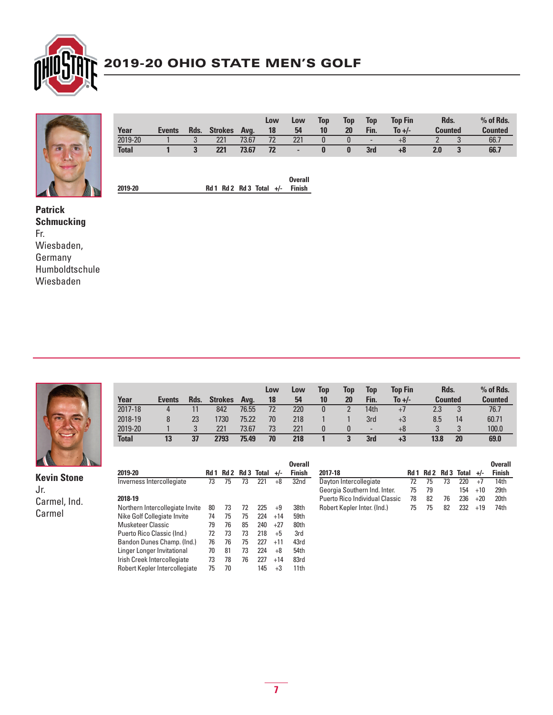



| Year         |        |      |                |       | Low | Low                      | <b>Top</b> | Top | <b>Top</b>               | <b>Top Fin</b> | Rds.           |   | % of Rds.      |
|--------------|--------|------|----------------|-------|-----|--------------------------|------------|-----|--------------------------|----------------|----------------|---|----------------|
|              | Events | Rds. | <b>Strokes</b> | Ava.  | 18  | 54                       | 10         | 20  | Fin.                     | To $+/-$       | <b>Counted</b> |   | <b>Counted</b> |
| 2019-20      |        |      | 221            | 73.67 | 72  | 221                      |            |     | $\overline{\phantom{0}}$ | +8             |                | U | 66.7           |
| <b>Total</b> |        |      | 221            | 73.67 | 72  | $\overline{\phantom{a}}$ |            |     | 3rd                      | $+8$           | 2.0            |   | 66.7           |
|              |        |      |                |       |     |                          |            |     |                          |                |                |   |                |

 **Overall 2019-20 Rd 1 Rd 2 Rd 3 Total +/- Finish**

**Patrick Schmucking** Fr. Wiesbaden, Germany Humboldtschule Wiesbaden



Jr.

Carmel, Ind. Carmel

 **Low Low Top Top Top Top Fin Rds. % of Rds. Year Events Rds. Strokes Avg. 18 54 10 20 Fin. To +/- Counted Counted** 2017-18 4 11 842 76.55 72 220 0 2 14th +7 2.3 3 76.7 2018-19 8 23 1730 75.22 70 218 1 1 3rd +3 8.5 14 60.71 2019-20 1 3 221 73.67 73 221 0 0 - +8 3 3 100.0 **Total 13 37 2793 75.49 70 218 1 3 3rd +3 13.8 20 69.0**

| 2019-20                         | Rd 1 | Rd 2 |    | <b>Rd 3 Total</b> | $+/-$ | <b>Overall</b><br><b>Finish</b> |
|---------------------------------|------|------|----|-------------------|-------|---------------------------------|
| Inverness Intercollegiate       | 73   | 75   | 73 | 221               | $+8$  | 32nd                            |
| 2018-19                         |      |      |    |                   |       |                                 |
| Northern Intercollegiate Invite | 80   | 73   | 72 | 225               | $+9$  | 38th                            |
| Nike Golf Collegiate Invite     | 74   | 75   | 75 | 224               | $+14$ | 59th                            |
| Musketeer Classic               | 79   | 76   | 85 | 240               | $+27$ | 80th                            |
| Puerto Rico Classic (Ind.)      | 72   | 73   | 73 | 218               | $+5$  | 3rd                             |
| Bandon Dunes Champ. (Ind.)      | 76   | 76   | 75 | 227               | $+11$ | 43rd                            |
| Linger Longer Invitational      | 70   | 81   | 73 | 224               | $+8$  | 54th                            |
| Irish Creek Intercollegiate     | 73   | 78   | 76 | 227               | $+14$ | 83rd                            |
| Robert Kepler Intercollegiate   | 75   | 70   |    | 145               | $+3$  | 11th                            |

|                                       |    |    |    |                               |       | <b>Overall</b> |
|---------------------------------------|----|----|----|-------------------------------|-------|----------------|
| 2017-18                               |    |    |    | $Rd1$ $Rd2$ $Rd3$ $Total +/-$ |       | <b>Finish</b>  |
| Dayton Intercollegiate                | 72 | 75 | 73 | 220.                          |       | 14th           |
| Georgia Southern Ind. Inter.          | 75 | 79 |    | 154                           | $+10$ | 29th           |
| <b>Puerto Rico Individual Classic</b> | 78 | 82 | 76 | 236                           | $+20$ | 20th           |
| Robert Kepler Inter. (Ind.)           | 75 | 75 | 82 | 232                           | $+19$ | 74th           |